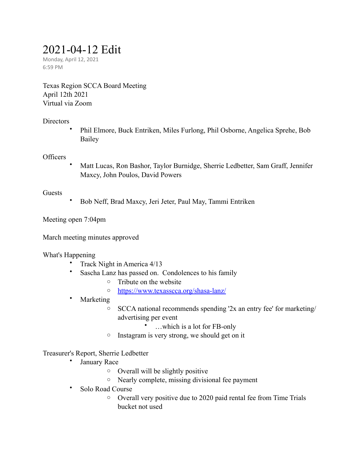# 2021-04-12 Edit

Monday, April 12, 2021 6:59 PM

Texas Region SCCA Board Meeting April 12th 2021 Virtual via Zoom

# **Directors**

• Phil Elmore, Buck Entriken, Miles Furlong, Phil Osborne, Angelica Sprehe, Bob Bailey

# **Officers**

• Matt Lucas, Ron Bashor, Taylor Burnidge, Sherrie Ledbetter, Sam Graff, Jennifer Maxcy, John Poulos, David Powers

# Guests

• Bob Neff, Brad Maxcy, Jeri Jeter, Paul May, Tammi Entriken

Meeting open 7:04pm

March meeting minutes approved

What's Happening

- Track Night in America 4/13
- Sascha Lanz has passed on. Condolences to his family
	- o Tribute on the website
	- o <https://www.texasscca.org/shasa-lanz/>
- Marketing
	- o SCCA national recommends spending '2x an entry fee' for marketing/ advertising per event
		- …which is a lot for FB-only
	- o Instagram is very strong, we should get on it

# Treasurer's Report, Sherrie Ledbetter

- January Race
	- o Overall will be slightly positive
	- o Nearly complete, missing divisional fee payment
- Solo Road Course
	- o Overall very positive due to 2020 paid rental fee from Time Trials bucket not used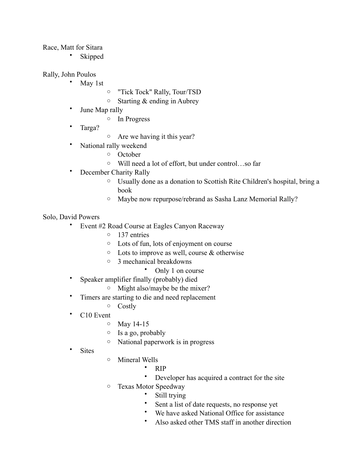#### Race, Matt for Sitara

**Skipped** 

#### Rally, John Poulos

- May 1st
- o "Tick Tock" Rally, Tour/TSD
- $\circ$  Starting & ending in Aubrey
- June Map rally
	- o In Progress
- Targa?
- o Are we having it this year?
- National rally weekend
	- o October
	- o Will need a lot of effort, but under control…so far
- December Charity Rally
	- o Usually done as a donation to Scottish Rite Children's hospital, bring a book
	- o Maybe now repurpose/rebrand as Sasha Lanz Memorial Rally?

#### Solo, David Powers

- Event #2 Road Course at Eagles Canyon Raceway
	- o 137 entries
	- o Lots of fun, lots of enjoyment on course
	- $\circ$  Lots to improve as well, course & otherwise
	- o 3 mechanical breakdowns
		- Only 1 on course
- Speaker amplifier finally (probably) died
	- o Might also/maybe be the mixer?
- Timers are starting to die and need replacement
	- o Costly
- C<sub>10</sub> Event
	- o May 14-15
	- o Is a go, probably
	- o National paperwork is in progress
- **Sites**
- o Mineral Wells
	- RIP
	- Developer has acquired a contract for the site
- o Texas Motor Speedway
	- Still trying
	- Sent a list of date requests, no response yet
	- We have asked National Office for assistance
	- Also asked other TMS staff in another direction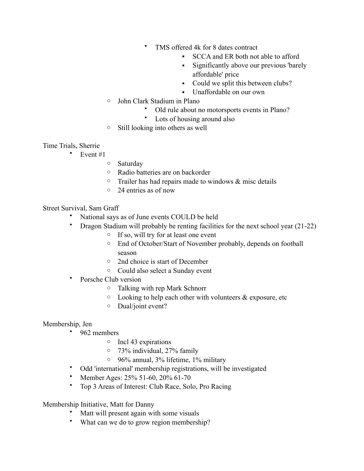- TMS offered 4k for 8 dates contract
	- SCCA and ER both not able to afford
	- **•** Significantly above our previous 'barely affordable' price
	- Could we split this between clubs?
	- Unaffordable on our own
- o John Clark Stadium in Plano
	- Old rule about no motorsports events in Plano?
	- Lots of housing around also
- o Still looking into others as well
- Time Trials, Sherrie
	- Event  $#1$ 
		- o Saturday
		- o Radio batteries are on backorder
		- $\circ$  Trailer has had repairs made to windows & misc details
		- o 24 entries as of now

# Street Survival, Sam Graff

- National says as of June events COULD be held
- Dragon Stadium will probably be renting facilities for the next school year (21-22)
	- o If so, will try for at least one event
	- o End of October/Start of November probably, depends on football season
	- o 2nd choice is start of December
	- o Could also select a Sunday event
- Porsche Club version
	- o Talking with rep Mark Schnorr
	- $\circ$  Looking to help each other with volunteers & exposure, etc
	- o Dual/joint event?

# Membership, Jen

- 962 members
	- o Incl 43 expirations
	- o 73% individual, 27% family
	- o 96% annual, 3% lifetime, 1% military
- Odd 'international' membership registrations, will be investigated
- Member Ages: 25% 51-60, 20% 61-70
- Top 3 Areas of Interest: Club Race, Solo, Pro Racing

Membership Initiative, Matt for Danny

- Matt will present again with some visuals
- What can we do to grow region membership?